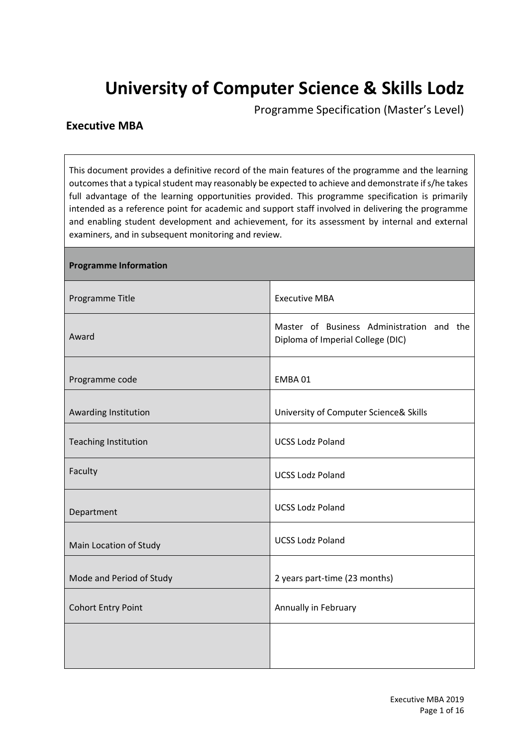# **University of Computer Science & Skills Lodz**

Programme Specification (Master's Level)

# **Executive MBA**

This document provides a definitive record of the main features of the programme and the learning outcomes that a typical student may reasonably be expected to achieve and demonstrate if s/he takes full advantage of the learning opportunities provided. This programme specification is primarily intended as a reference point for academic and support staff involved in delivering the programme and enabling student development and achievement, for its assessment by internal and external examiners, and in subsequent monitoring and review.

| <b>Programme Information</b> |                                                                                |
|------------------------------|--------------------------------------------------------------------------------|
| Programme Title              | <b>Executive MBA</b>                                                           |
| Award                        | Master of Business Administration and the<br>Diploma of Imperial College (DIC) |
| Programme code               | EMBA01                                                                         |
| Awarding Institution         | University of Computer Science& Skills                                         |
| <b>Teaching Institution</b>  | <b>UCSS Lodz Poland</b>                                                        |
| Faculty                      | <b>UCSS Lodz Poland</b>                                                        |
| Department                   | <b>UCSS Lodz Poland</b>                                                        |
| Main Location of Study       | <b>UCSS Lodz Poland</b>                                                        |
| Mode and Period of Study     | 2 years part-time (23 months)                                                  |
| <b>Cohort Entry Point</b>    | Annually in February                                                           |
|                              |                                                                                |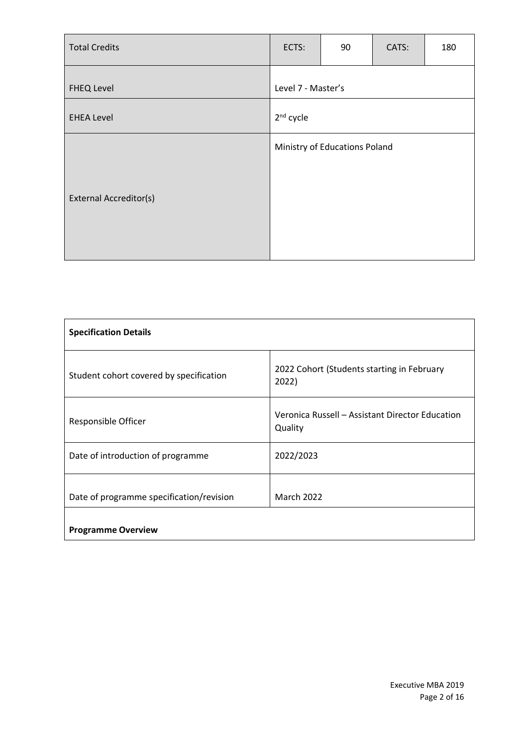| <b>Total Credits</b>          | ECTS:                 | 90                            | CATS: | 180 |
|-------------------------------|-----------------------|-------------------------------|-------|-----|
| <b>FHEQ Level</b>             | Level 7 - Master's    |                               |       |     |
| <b>EHEA Level</b>             | 2 <sup>nd</sup> cycle |                               |       |     |
|                               |                       | Ministry of Educations Poland |       |     |
| <b>External Accreditor(s)</b> |                       |                               |       |     |

| <b>Specification Details</b>             |                                                            |
|------------------------------------------|------------------------------------------------------------|
| Student cohort covered by specification  | 2022 Cohort (Students starting in February<br>2022)        |
| Responsible Officer                      | Veronica Russell - Assistant Director Education<br>Quality |
| Date of introduction of programme        | 2022/2023                                                  |
| Date of programme specification/revision | <b>March 2022</b>                                          |
| <b>Programme Overview</b>                |                                                            |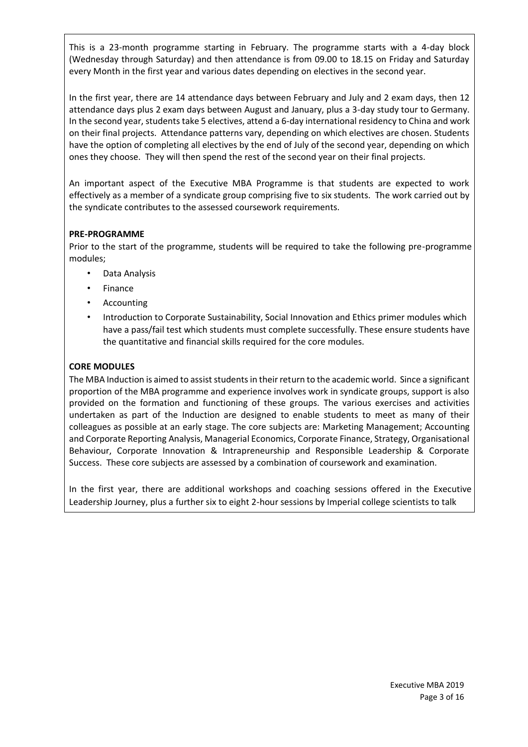This is a 23-month programme starting in February. The programme starts with a 4-day block (Wednesday through Saturday) and then attendance is from 09.00 to 18.15 on Friday and Saturday every Month in the first year and various dates depending on electives in the second year.

In the first year, there are 14 attendance days between February and July and 2 exam days, then 12 attendance days plus 2 exam days between August and January, plus a 3-day study tour to Germany. In the second year, students take 5 electives, attend a 6-day international residency to China and work on their final projects. Attendance patterns vary, depending on which electives are chosen. Students have the option of completing all electives by the end of July of the second year, depending on which ones they choose. They will then spend the rest of the second year on their final projects.

An important aspect of the Executive MBA Programme is that students are expected to work effectively as a member of a syndicate group comprising five to six students. The work carried out by the syndicate contributes to the assessed coursework requirements.

## **PRE-PROGRAMME**

Prior to the start of the programme, students will be required to take the following pre-programme modules;

- Data Analysis
- **Finance**
- **Accounting**
- Introduction to Corporate Sustainability, Social Innovation and Ethics primer modules which have a pass/fail test which students must complete successfully. These ensure students have the quantitative and financial skills required for the core modules.

#### **CORE MODULES**

The MBA Induction is aimed to assist students in their return to the academic world. Since a significant proportion of the MBA programme and experience involves work in syndicate groups, support is also provided on the formation and functioning of these groups. The various exercises and activities undertaken as part of the Induction are designed to enable students to meet as many of their colleagues as possible at an early stage. The core subjects are: Marketing Management; Accounting and Corporate Reporting Analysis, Managerial Economics, Corporate Finance, Strategy, Organisational Behaviour, Corporate Innovation & Intrapreneurship and Responsible Leadership & Corporate Success. These core subjects are assessed by a combination of coursework and examination.

In the first year, there are additional workshops and coaching sessions offered in the Executive Leadership Journey, plus a further six to eight 2-hour sessions by Imperial college scientists to talk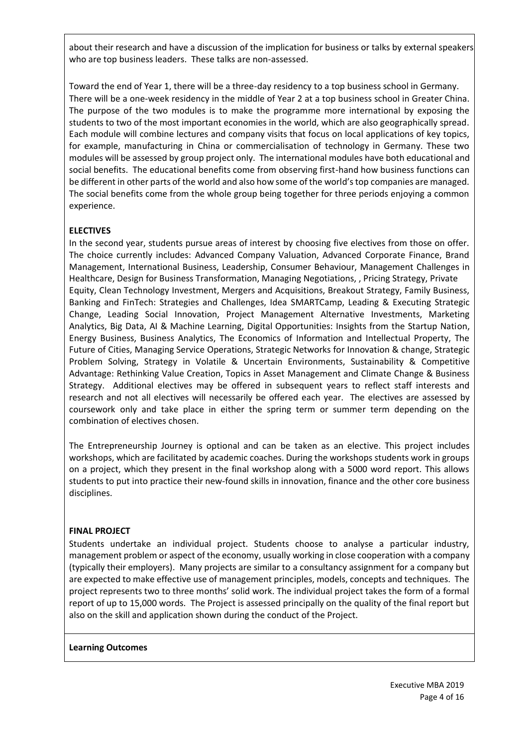about their research and have a discussion of the implication for business or talks by external speakers who are top business leaders. These talks are non-assessed.

Toward the end of Year 1, there will be a three-day residency to a top business school in Germany. There will be a one-week residency in the middle of Year 2 at a top business school in Greater China. The purpose of the two modules is to make the programme more international by exposing the students to two of the most important economies in the world, which are also geographically spread. Each module will combine lectures and company visits that focus on local applications of key topics, for example, manufacturing in China or commercialisation of technology in Germany. These two modules will be assessed by group project only. The international modules have both educational and social benefits. The educational benefits come from observing first-hand how business functions can be different in other parts of the world and also how some of the world's top companies are managed. The social benefits come from the whole group being together for three periods enjoying a common experience.

# **ELECTIVES**

In the second year, students pursue areas of interest by choosing five electives from those on offer. The choice currently includes: Advanced Company Valuation, Advanced Corporate Finance, Brand Management, International Business, Leadership, Consumer Behaviour, Management Challenges in Healthcare, Design for Business Transformation, Managing Negotiations, , Pricing Strategy, Private Equity, Clean Technology Investment, Mergers and Acquisitions, Breakout Strategy, Family Business, Banking and FinTech: Strategies and Challenges, Idea SMARTCamp, Leading & Executing Strategic Change, Leading Social Innovation, Project Management Alternative Investments, Marketing Analytics, Big Data, AI & Machine Learning, Digital Opportunities: Insights from the Startup Nation, Energy Business, Business Analytics, The Economics of Information and Intellectual Property, The Future of Cities, Managing Service Operations, Strategic Networks for Innovation & change, Strategic Problem Solving, Strategy in Volatile & Uncertain Environments, Sustainability & Competitive Advantage: Rethinking Value Creation, Topics in Asset Management and Climate Change & Business Strategy. Additional electives may be offered in subsequent years to reflect staff interests and research and not all electives will necessarily be offered each year. The electives are assessed by coursework only and take place in either the spring term or summer term depending on the combination of electives chosen.

The Entrepreneurship Journey is optional and can be taken as an elective. This project includes workshops, which are facilitated by academic coaches. During the workshops students work in groups on a project, which they present in the final workshop along with a 5000 word report. This allows students to put into practice their new-found skills in innovation, finance and the other core business disciplines.

## **FINAL PROJECT**

Students undertake an individual project. Students choose to analyse a particular industry, management problem or aspect of the economy, usually working in close cooperation with a company (typically their employers). Many projects are similar to a consultancy assignment for a company but are expected to make effective use of management principles, models, concepts and techniques. The project represents two to three months' solid work. The individual project takes the form of a formal report of up to 15,000 words. The Project is assessed principally on the quality of the final report but also on the skill and application shown during the conduct of the Project.

#### **Learning Outcomes**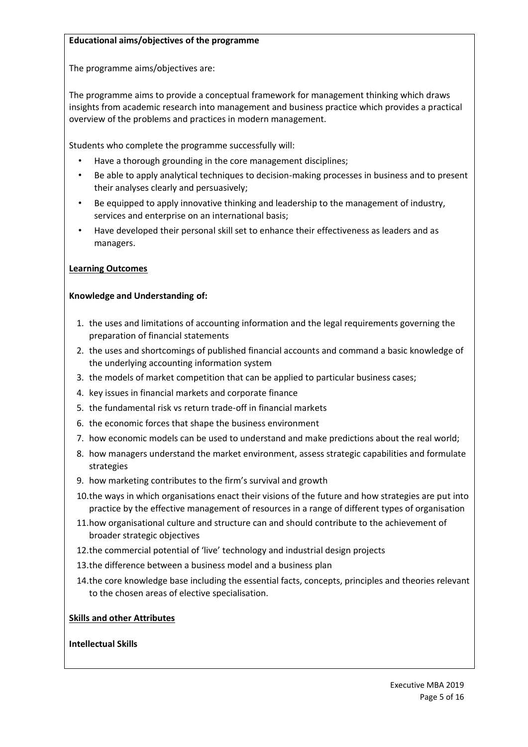## **Educational aims/objectives of the programme**

The programme aims/objectives are:

The programme aims to provide a conceptual framework for management thinking which draws insights from academic research into management and business practice which provides a practical overview of the problems and practices in modern management.

Students who complete the programme successfully will:

- Have a thorough grounding in the core management disciplines;
- Be able to apply analytical techniques to decision-making processes in business and to present their analyses clearly and persuasively;
- Be equipped to apply innovative thinking and leadership to the management of industry, services and enterprise on an international basis;
- Have developed their personal skill set to enhance their effectiveness as leaders and as managers.

# **Learning Outcomes**

## **Knowledge and Understanding of:**

- 1. the uses and limitations of accounting information and the legal requirements governing the preparation of financial statements
- 2. the uses and shortcomings of published financial accounts and command a basic knowledge of the underlying accounting information system
- 3. the models of market competition that can be applied to particular business cases;
- 4. key issues in financial markets and corporate finance
- 5. the fundamental risk vs return trade-off in financial markets
- 6. the economic forces that shape the business environment
- 7. how economic models can be used to understand and make predictions about the real world;
- 8. how managers understand the market environment, assess strategic capabilities and formulate strategies
- 9. how marketing contributes to the firm's survival and growth
- 10.the ways in which organisations enact their visions of the future and how strategies are put into practice by the effective management of resources in a range of different types of organisation
- 11.how organisational culture and structure can and should contribute to the achievement of broader strategic objectives
- 12.the commercial potential of 'live' technology and industrial design projects
- 13.the difference between a business model and a business plan
- 14.the core knowledge base including the essential facts, concepts, principles and theories relevant to the chosen areas of elective specialisation.

## **Skills and other Attributes**

## **Intellectual Skills**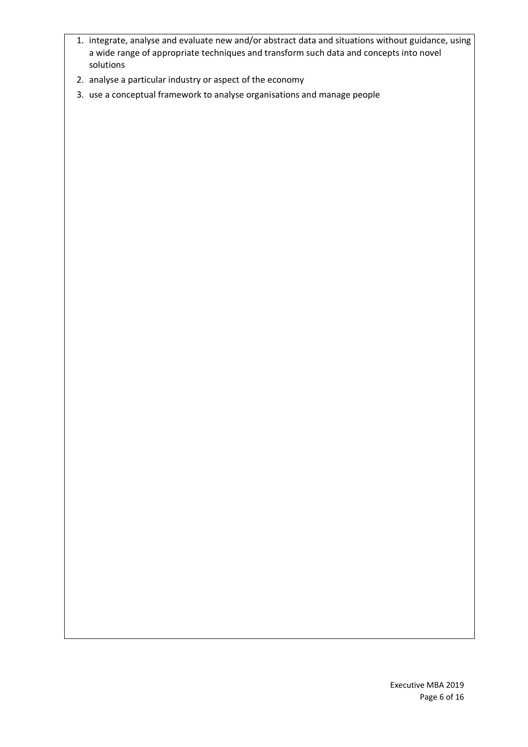- 1. integrate, analyse and evaluate new and/or abstract data and situations without guidance, using a wide range of appropriate techniques and transform such data and concepts into novel solutions
- 2. analyse a particular industry or aspect of the economy
- 3. use a conceptual framework to analyse organisations and manage people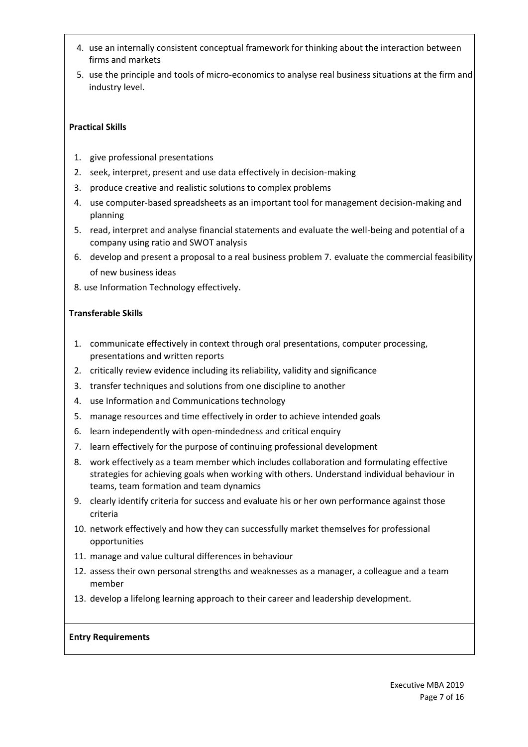- 4. use an internally consistent conceptual framework for thinking about the interaction between firms and markets
- 5. use the principle and tools of micro-economics to analyse real business situations at the firm and industry level.

# **Practical Skills**

- 1. give professional presentations
- 2. seek, interpret, present and use data effectively in decision-making
- 3. produce creative and realistic solutions to complex problems
- 4. use computer-based spreadsheets as an important tool for management decision-making and planning
- 5. read, interpret and analyse financial statements and evaluate the well-being and potential of a company using ratio and SWOT analysis
- 6. develop and present a proposal to a real business problem 7. evaluate the commercial feasibility of new business ideas
- 8. use Information Technology effectively.

# **Transferable Skills**

- 1. communicate effectively in context through oral presentations, computer processing, presentations and written reports
- 2. critically review evidence including its reliability, validity and significance
- 3. transfer techniques and solutions from one discipline to another
- 4. use Information and Communications technology
- 5. manage resources and time effectively in order to achieve intended goals
- 6. learn independently with open-mindedness and critical enquiry
- 7. learn effectively for the purpose of continuing professional development
- 8. work effectively as a team member which includes collaboration and formulating effective strategies for achieving goals when working with others. Understand individual behaviour in teams, team formation and team dynamics
- 9. clearly identify criteria for success and evaluate his or her own performance against those criteria
- 10. network effectively and how they can successfully market themselves for professional opportunities
- 11. manage and value cultural differences in behaviour
- 12. assess their own personal strengths and weaknesses as a manager, a colleague and a team member
- 13. develop a lifelong learning approach to their career and leadership development.

## **Entry Requirements**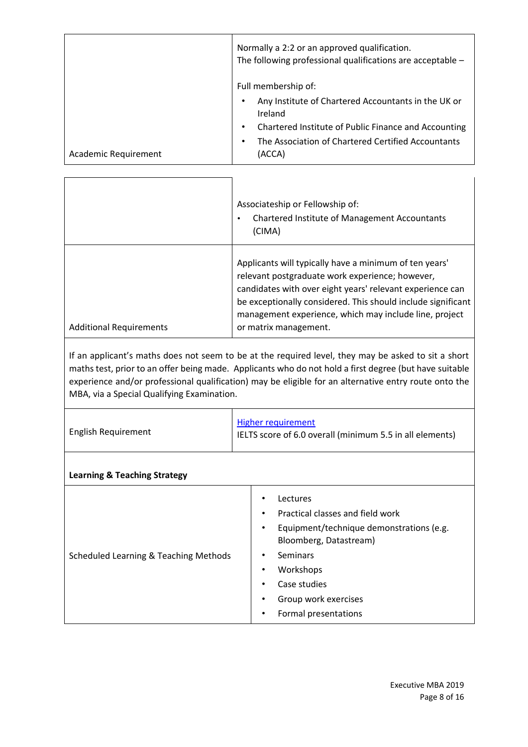|                      | Normally a 2:2 or an approved qualification.<br>The following professional qualifications are acceptable -                                                                                                    |
|----------------------|---------------------------------------------------------------------------------------------------------------------------------------------------------------------------------------------------------------|
| Academic Requirement | Full membership of:<br>Any Institute of Chartered Accountants in the UK or<br>Ireland<br>Chartered Institute of Public Finance and Accounting<br>The Association of Chartered Certified Accountants<br>(ACCA) |

|                                | Associateship or Fellowship of:<br><b>Chartered Institute of Management Accountants</b><br>$\bullet$<br>(CIMA)                                                                                                                                                                                                            |
|--------------------------------|---------------------------------------------------------------------------------------------------------------------------------------------------------------------------------------------------------------------------------------------------------------------------------------------------------------------------|
| <b>Additional Requirements</b> | Applicants will typically have a minimum of ten years'<br>relevant postgraduate work experience; however,<br>candidates with over eight years' relevant experience can<br>be exceptionally considered. This should include significant<br>management experience, which may include line, project<br>or matrix management. |

If an applicant's maths does not seem to be at the required level, they may be asked to sit a short maths test, prior to an offer being made. Applicants who do not hold a first degree (but have suitable experience and/or professional qualification) may be eligible for an alternative entry route onto the MBA, via a Special Qualifying Examination.

| <b>English Requirement</b>              | <b>Higher requirement</b><br>IELTS score of 6.0 overall (minimum 5.5 in all elements)                                             |  |  |  |  |
|-----------------------------------------|-----------------------------------------------------------------------------------------------------------------------------------|--|--|--|--|
| <b>Learning &amp; Teaching Strategy</b> |                                                                                                                                   |  |  |  |  |
|                                         | Lectures<br>٠<br>Practical classes and field work<br>٠<br>Equipment/technique demonstrations (e.g.<br>٠<br>Bloomberg, Datastream) |  |  |  |  |

• Seminars • Workshops • Case studies

• Group work exercises • Formal presentations

Scheduled Learning & Teaching Methods

 $\Gamma$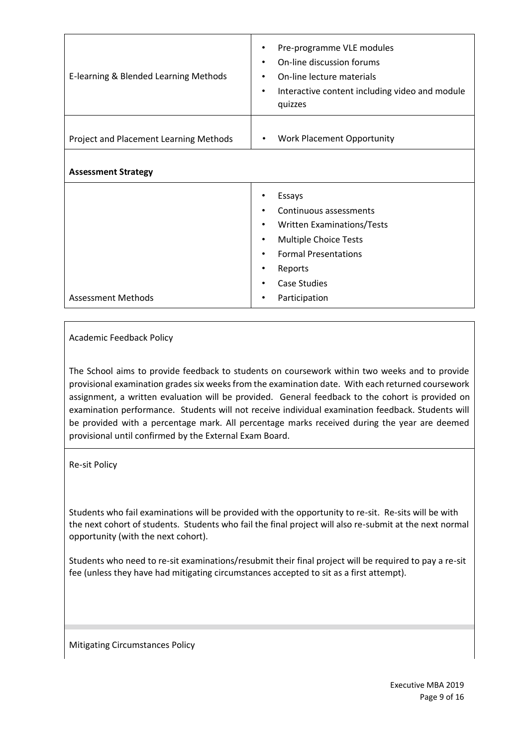| E-learning & Blended Learning Methods  | Pre-programme VLE modules<br>On-line discussion forums<br>$\bullet$<br>On-line lecture materials<br>٠<br>Interactive content including video and module<br>٠<br>quizzes                                                        |
|----------------------------------------|--------------------------------------------------------------------------------------------------------------------------------------------------------------------------------------------------------------------------------|
| Project and Placement Learning Methods | <b>Work Placement Opportunity</b><br>$\bullet$                                                                                                                                                                                 |
| <b>Assessment Strategy</b>             |                                                                                                                                                                                                                                |
| <b>Assessment Methods</b>              | Essays<br>Continuous assessments<br>$\bullet$<br><b>Written Examinations/Tests</b><br>٠<br><b>Multiple Choice Tests</b><br>$\bullet$<br><b>Formal Presentations</b><br>٠<br>Reports<br>٠<br>Case Studies<br>Participation<br>٠ |

Academic Feedback Policy

The School aims to provide feedback to students on coursework within two weeks and to provide provisional examination grades six weeks from the examination date. With each returned coursework assignment, a written evaluation will be provided. General feedback to the cohort is provided on examination performance. Students will not receive individual examination feedback. Students will be provided with a percentage mark. All percentage marks received during the year are deemed provisional until confirmed by the External Exam Board.

Re-sit Policy

Students who fail examinations will be provided with the opportunity to re-sit. Re-sits will be with the next cohort of students. Students who fail the final project will also re-submit at the next normal opportunity (with the next cohort).

Students who need to re-sit examinations/resubmit their final project will be required to pay a re-sit fee (unless they have had mitigating circumstances accepted to sit as a first attempt).

Mitigating Circumstances Policy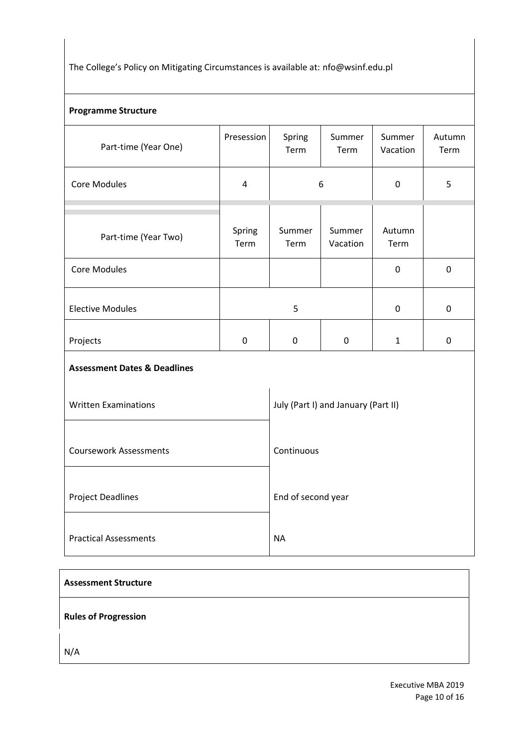The College's Policy on Mitigating Circumstances is available at: nfo@wsinf.edu.pl

# **Programme Structure**

| Part-time (Year One)                    | Presession     | Spring<br>Term                      | Summer<br>Term     | Summer<br>Vacation |   |  |  |
|-----------------------------------------|----------------|-------------------------------------|--------------------|--------------------|---|--|--|
| <b>Core Modules</b>                     | 4              | 6                                   |                    | $\mathbf 0$        | 5 |  |  |
|                                         |                |                                     |                    |                    |   |  |  |
| Part-time (Year Two)                    | Spring<br>Term | Summer<br>Term                      | Summer<br>Vacation | Autumn<br>Term     |   |  |  |
| <b>Core Modules</b>                     |                |                                     |                    | $\pmb{0}$          | 0 |  |  |
|                                         |                |                                     |                    |                    |   |  |  |
| <b>Elective Modules</b>                 |                | 5                                   |                    | $\pmb{0}$          | 0 |  |  |
| Projects                                | $\pmb{0}$      | 0                                   | $\mathbf 0$        |                    | 0 |  |  |
| <b>Assessment Dates &amp; Deadlines</b> |                |                                     |                    |                    |   |  |  |
| <b>Written Examinations</b>             |                | July (Part I) and January (Part II) |                    |                    |   |  |  |
| <b>Coursework Assessments</b>           |                | Continuous                          |                    |                    |   |  |  |
| <b>Project Deadlines</b>                |                | End of second year                  |                    |                    |   |  |  |
| <b>Practical Assessments</b>            |                | <b>NA</b>                           |                    |                    |   |  |  |

| <b>Assessment Structure</b> |  |
|-----------------------------|--|
| <b>Rules of Progression</b> |  |
| N/A                         |  |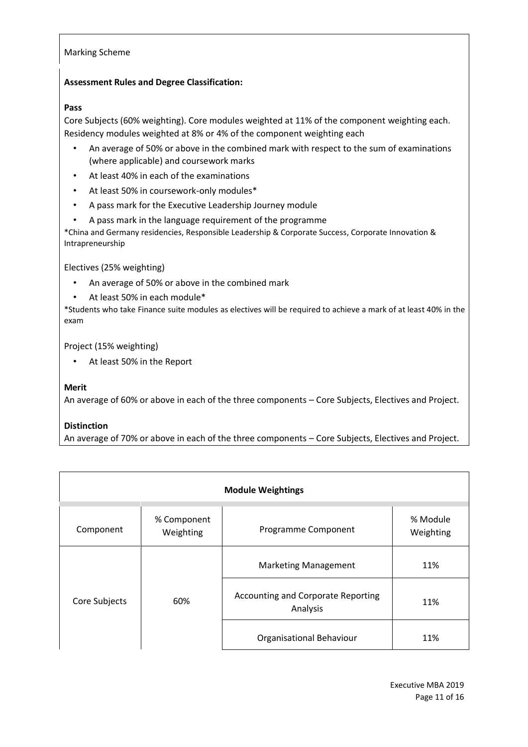#### Marking Scheme

### **Assessment Rules and Degree Classification:**

#### **Pass**

Core Subjects (60% weighting). Core modules weighted at 11% of the component weighting each. Residency modules weighted at 8% or 4% of the component weighting each

- An average of 50% or above in the combined mark with respect to the sum of examinations (where applicable) and coursework marks
- At least 40% in each of the examinations
- At least 50% in coursework-only modules\*
- A pass mark for the Executive Leadership Journey module
- A pass mark in the language requirement of the programme

\*China and Germany residencies, Responsible Leadership & Corporate Success, Corporate Innovation & Intrapreneurship

Electives (25% weighting)

- An average of 50% or above in the combined mark
- At least 50% in each module\*

\*Students who take Finance suite modules as electives will be required to achieve a mark of at least 40% in the exam

Project (15% weighting)

• At least 50% in the Report

#### **Merit**

An average of 60% or above in each of the three components – Core Subjects, Electives and Project.

#### **Distinction**

An average of 70% or above in each of the three components – Core Subjects, Electives and Project.

| <b>Module Weightings</b> |                                                |                             |                       |  |  |  |  |
|--------------------------|------------------------------------------------|-----------------------------|-----------------------|--|--|--|--|
| Component                | % Component<br>Weighting                       | Programme Component         | % Module<br>Weighting |  |  |  |  |
| 60%<br>Core Subjects     |                                                | <b>Marketing Management</b> | 11%                   |  |  |  |  |
|                          | Accounting and Corporate Reporting<br>Analysis | 11%                         |                       |  |  |  |  |
|                          |                                                | Organisational Behaviour    | 11%                   |  |  |  |  |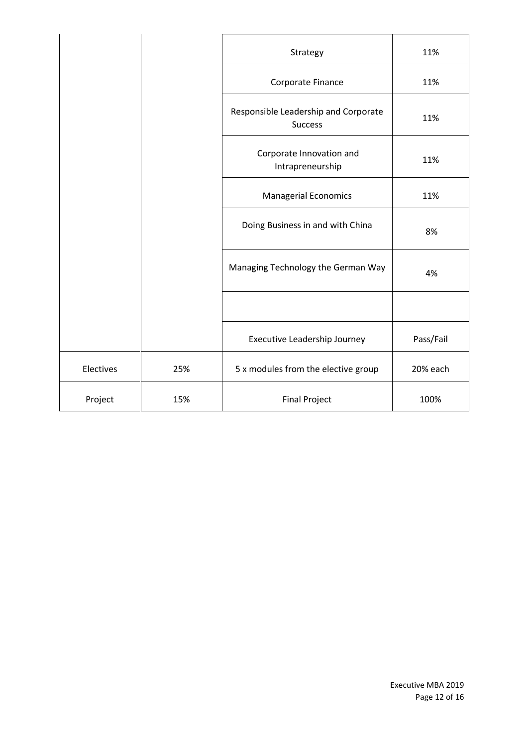|           |     | Strategy                                               | 11%       |
|-----------|-----|--------------------------------------------------------|-----------|
|           |     | Corporate Finance                                      | 11%       |
|           |     | Responsible Leadership and Corporate<br><b>Success</b> | 11%       |
|           |     | Corporate Innovation and<br>Intrapreneurship           | 11%       |
|           |     | <b>Managerial Economics</b>                            | 11%       |
|           |     | Doing Business in and with China                       | 8%        |
|           |     | Managing Technology the German Way                     | 4%        |
|           |     |                                                        |           |
|           |     | Executive Leadership Journey                           | Pass/Fail |
| Electives | 25% | 5 x modules from the elective group                    | 20% each  |
| Project   | 15% | <b>Final Project</b>                                   | 100%      |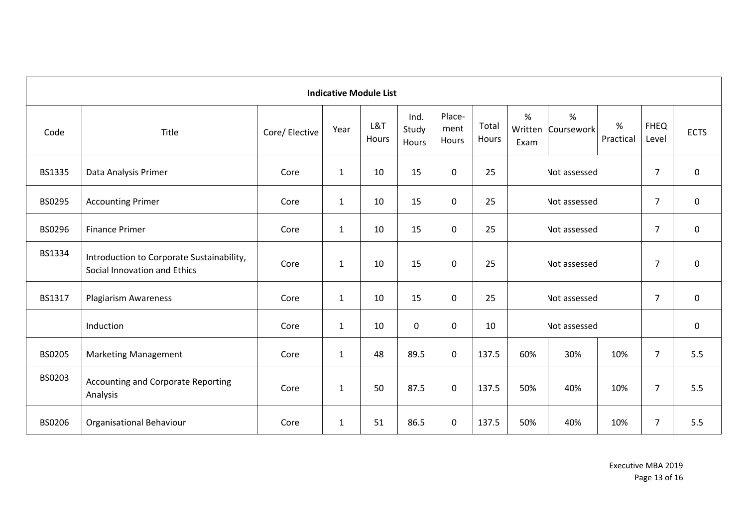|               | <b>Indicative Module List</b>                                             |                |              |              |                        |                         |                |                                |                 |                   |                      |             |
|---------------|---------------------------------------------------------------------------|----------------|--------------|--------------|------------------------|-------------------------|----------------|--------------------------------|-----------------|-------------------|----------------------|-------------|
| Code          | Title                                                                     | Core/ Elective | Year         | L&T<br>Hours | Ind.<br>Study<br>Hours | Place-<br>ment<br>Hours | Total<br>Hours | %<br>Written<br>Exam           | %<br>Coursework | $\%$<br>Practical | <b>FHEQ</b><br>Level | <b>ECTS</b> |
| <b>BS1335</b> | Data Analysis Primer                                                      | Core           | $\mathbf{1}$ | 10           | 15                     | 0                       | 25             |                                | Not assessed    |                   | $\overline{7}$       | 0           |
| BS0295        | <b>Accounting Primer</b>                                                  | Core           | $\mathbf{1}$ | 10           | 15                     | 0                       | 25             |                                | Not assessed    |                   | $\overline{7}$       | 0           |
| BS0296        | <b>Finance Primer</b>                                                     | Core           | $\mathbf{1}$ | 10           | 15                     | 0                       | 25             |                                | Not assessed    |                   | $\overline{7}$       | 0           |
| BS1334        | Introduction to Corporate Sustainability,<br>Social Innovation and Ethics | Core           | $\mathbf{1}$ | 10           | 15                     | 0                       | 25             |                                | Not assessed    |                   | $\overline{7}$       | 0           |
| BS1317        | <b>Plagiarism Awareness</b>                                               | Core           | $\mathbf{1}$ | 10           | 15                     | 0                       | 25             | $\overline{7}$<br>Not assessed |                 | 0                 |                      |             |
|               | Induction                                                                 | Core           | $\mathbf{1}$ | 10           | $\mathbf 0$            | $\pmb{0}$               | 10             | Not assessed                   |                 | $\mathbf 0$       |                      |             |
| <b>BS0205</b> | <b>Marketing Management</b>                                               | Core           | $\mathbf{1}$ | 48           | 89.5                   | 0                       | 137.5          | 60%                            | 30%             | 10%               | $\overline{7}$       | 5.5         |
| BS0203        | <b>Accounting and Corporate Reporting</b><br>Analysis                     | Core           | $\mathbf{1}$ | 50           | 87.5                   | 0                       | 137.5          | 50%                            | 40%             | 10%               | $\overline{7}$       | 5.5         |
| BS0206        | Organisational Behaviour                                                  | Core           | $\mathbf{1}$ | 51           | 86.5                   | $\pmb{0}$               | 137.5          | 50%                            | 40%             | 10%               | $\overline{7}$       | 5.5         |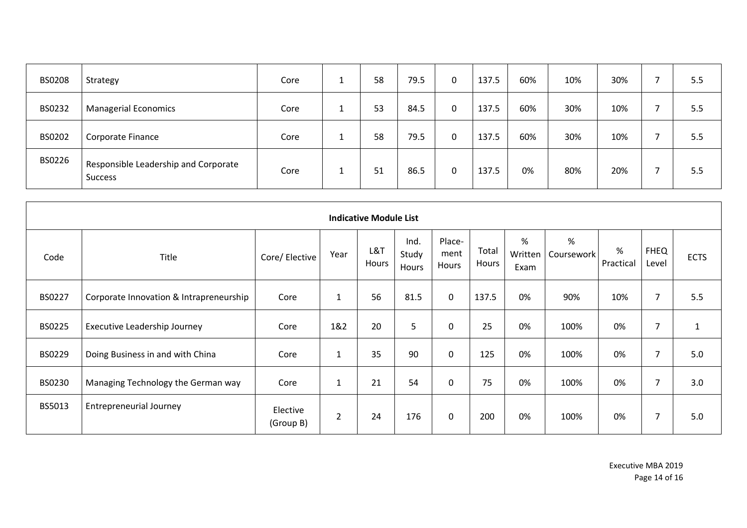| <b>BS0208</b> | Strategy                                               | Core | 58 | 79.5 | 0 | 137.5 | 60% | 10% | 30% | 5.5 |
|---------------|--------------------------------------------------------|------|----|------|---|-------|-----|-----|-----|-----|
| BS0232        | <b>Managerial Economics</b>                            | Core | 53 | 84.5 | 0 | 137.5 | 60% | 30% | 10% | 5.5 |
| BS0202        | Corporate Finance                                      | Core | 58 | 79.5 | 0 | 137.5 | 60% | 30% | 10% | 5.5 |
| BS0226        | Responsible Leadership and Corporate<br><b>Success</b> | Core | 51 | 86.5 | 0 | 137.5 | 0%  | 80% | 20% | 5.5 |

|               | <b>Indicative Module List</b>           |                       |                |              |                        |                         |                |                      |                 |                |                      |              |  |  |  |
|---------------|-----------------------------------------|-----------------------|----------------|--------------|------------------------|-------------------------|----------------|----------------------|-----------------|----------------|----------------------|--------------|--|--|--|
| Code          | Title                                   | Core/ Elective        | Year           | L&T<br>Hours | Ind.<br>Study<br>Hours | Place-<br>ment<br>Hours | Total<br>Hours | %<br>Written<br>Exam | %<br>Coursework | %<br>Practical | <b>FHEQ</b><br>Level | <b>ECTS</b>  |  |  |  |
| BS0227        | Corporate Innovation & Intrapreneurship | Core                  | $\mathbf{1}$   | 56           | 81.5                   | $\mathbf 0$             | 137.5          | 0%                   | 90%             | 10%            | $\overline{7}$       | 5.5          |  |  |  |
| <b>BS0225</b> | Executive Leadership Journey            | Core                  | 1&2            | 20           | 5                      | 0                       | 25             | 0%                   | 100%            | 0%             | $\overline{7}$       | $\mathbf{1}$ |  |  |  |
| BS0229        | Doing Business in and with China        | Core                  | $\mathbf{1}$   | 35           | 90                     | $\mathbf 0$             | 125            | 0%                   | 100%            | 0%             | 7                    | 5.0          |  |  |  |
| BS0230        | Managing Technology the German way      | Core                  | $\mathbf{1}$   | 21           | 54                     | 0                       | 75             | 0%                   | 100%            | 0%             | 7                    | 3.0          |  |  |  |
| BS5013        | <b>Entrepreneurial Journey</b>          | Elective<br>(Group B) | $\overline{2}$ | 24           | 176                    | $\mathbf 0$             | 200            | 0%                   | 100%            | 0%             | $\overline{7}$       | 5.0          |  |  |  |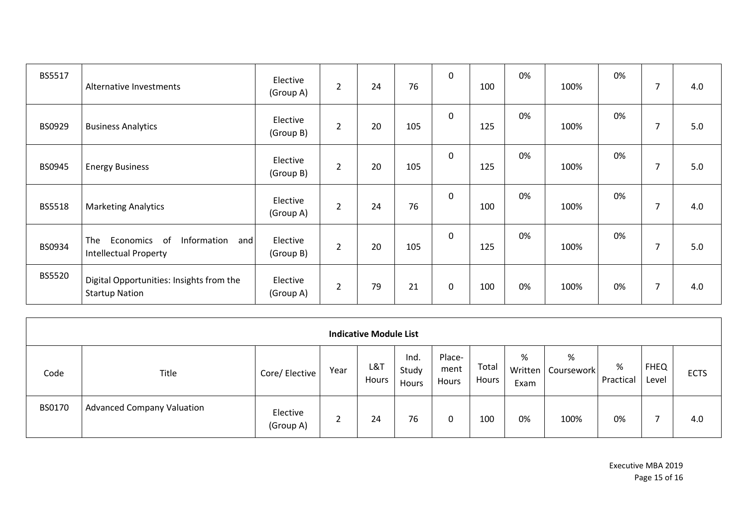| BS5517 | Alternative Investments                                                      | Elective<br>(Group A) | $\overline{2}$ | 24 | 76  | $\mathbf 0$ | 100 | 0% | 100% | 0% |   | 4.0 |
|--------|------------------------------------------------------------------------------|-----------------------|----------------|----|-----|-------------|-----|----|------|----|---|-----|
| BS0929 | <b>Business Analytics</b>                                                    | Elective<br>(Group B) | $\overline{2}$ | 20 | 105 | $\mathbf 0$ | 125 | 0% | 100% | 0% |   | 5.0 |
| BS0945 | <b>Energy Business</b>                                                       | Elective<br>(Group B) | $\overline{2}$ | 20 | 105 | $\mathbf 0$ | 125 | 0% | 100% | 0% |   | 5.0 |
| BS5518 | <b>Marketing Analytics</b>                                                   | Elective<br>(Group A) | $\overline{2}$ | 24 | 76  | $\mathbf 0$ | 100 | 0% | 100% | 0% |   | 4.0 |
| BS0934 | of<br>Information<br>and<br>The<br>Economics<br><b>Intellectual Property</b> | Elective<br>(Group B) | $\overline{2}$ | 20 | 105 | $\mathbf 0$ | 125 | 0% | 100% | 0% |   | 5.0 |
| BS5520 | Digital Opportunities: Insights from the<br><b>Startup Nation</b>            | Elective<br>(Group A) | $\overline{2}$ | 79 | 21  | 0           | 100 | 0% | 100% | 0% | 7 | 4.0 |

| <b>Indicative Module List</b> |                                   |                       |      |              |                        |                         |                |                      |                 |                |                      |             |  |
|-------------------------------|-----------------------------------|-----------------------|------|--------------|------------------------|-------------------------|----------------|----------------------|-----------------|----------------|----------------------|-------------|--|
| Code                          | Title                             | Core/ Elective        | Year | L&T<br>Hours | Ind.<br>Study<br>Hours | Place-<br>ment<br>Hours | Total<br>Hours | %<br>Written<br>Exam | %<br>Coursework | %<br>Practical | <b>FHEQ</b><br>Level | <b>ECTS</b> |  |
| BS0170                        | <b>Advanced Company Valuation</b> | Elective<br>(Group A) |      | 24           | 76                     | 0                       | 100            | 0%                   | 100%            | 0%             |                      | 4.0         |  |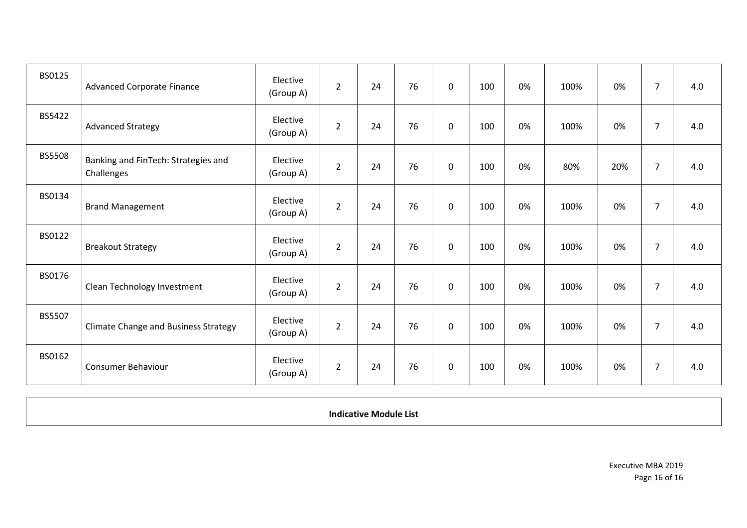| BS0125        | <b>Advanced Corporate Finance</b>                 | Elective<br>(Group A) | $\overline{2}$ | 24 | 76 | $\mathbf 0$ | 100 | 0% | 100% | 0%  | 7              | 4.0 |
|---------------|---------------------------------------------------|-----------------------|----------------|----|----|-------------|-----|----|------|-----|----------------|-----|
| BS5422        | <b>Advanced Strategy</b>                          | Elective<br>(Group A) | $\overline{2}$ | 24 | 76 | $\mathbf 0$ | 100 | 0% | 100% | 0%  | $\overline{7}$ | 4.0 |
| <b>BS5508</b> | Banking and FinTech: Strategies and<br>Challenges | Elective<br>(Group A) | $\overline{2}$ | 24 | 76 | 0           | 100 | 0% | 80%  | 20% | $\overline{7}$ | 4.0 |
| BS0134        | <b>Brand Management</b>                           | Elective<br>(Group A) | $\overline{2}$ | 24 | 76 | $\mathbf 0$ | 100 | 0% | 100% | 0%  | $\overline{7}$ | 4.0 |
| BS0122        | <b>Breakout Strategy</b>                          | Elective<br>(Group A) | $\overline{2}$ | 24 | 76 | $\mathbf 0$ | 100 | 0% | 100% | 0%  | $\overline{7}$ | 4.0 |
| BS0176        | Clean Technology Investment                       | Elective<br>(Group A) | $\overline{2}$ | 24 | 76 | $\mathbf 0$ | 100 | 0% | 100% | 0%  | $\overline{7}$ | 4.0 |
| BS5507        | <b>Climate Change and Business Strategy</b>       | Elective<br>(Group A) | $\overline{2}$ | 24 | 76 | $\mathbf 0$ | 100 | 0% | 100% | 0%  | $\overline{7}$ | 4.0 |
| BS0162        | <b>Consumer Behaviour</b>                         | Elective<br>(Group A) | $\overline{2}$ | 24 | 76 | $\mathbf 0$ | 100 | 0% | 100% | 0%  | $\overline{7}$ | 4.0 |

**Indicative Module List**

Executive MBA 2019 Page 16 of 16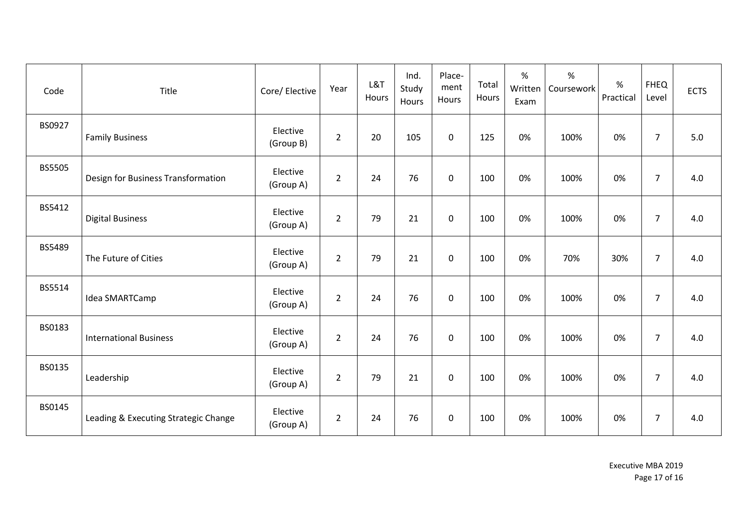| Code          | Title                                | Core/ Elective        | Year           | L&T<br>Hours | Ind.<br>Study<br>Hours | Place-<br>ment<br>Hours | Total<br>Hours | %<br>Written<br>Exam | $\%$<br>Coursework | %<br>Practical | <b>FHEQ</b><br>Level | <b>ECTS</b> |
|---------------|--------------------------------------|-----------------------|----------------|--------------|------------------------|-------------------------|----------------|----------------------|--------------------|----------------|----------------------|-------------|
| BS0927        | <b>Family Business</b>               | Elective<br>(Group B) | $\overline{2}$ | 20           | 105                    | $\mathbf 0$             | 125            | 0%                   | 100%               | 0%             | $\overline{7}$       | 5.0         |
| <b>BS5505</b> | Design for Business Transformation   | Elective<br>(Group A) | $\overline{2}$ | 24           | 76                     | $\mathbf 0$             | 100            | 0%                   | 100%               | 0%             | $\overline{7}$       | 4.0         |
| BS5412        | <b>Digital Business</b>              | Elective<br>(Group A) | $\overline{2}$ | 79           | 21                     | $\mathbf 0$             | 100            | 0%                   | 100%               | 0%             | $\overline{7}$       | 4.0         |
| <b>BS5489</b> | The Future of Cities                 | Elective<br>(Group A) | $\overline{2}$ | 79           | 21                     | $\mathbf 0$             | 100            | 0%                   | 70%                | 30%            | $\overline{7}$       | 4.0         |
| BS5514        | Idea SMARTCamp                       | Elective<br>(Group A) | $\overline{2}$ | 24           | 76                     | $\mathbf 0$             | 100            | 0%                   | 100%               | 0%             | $\overline{7}$       | 4.0         |
| BS0183        | <b>International Business</b>        | Elective<br>(Group A) | $\overline{2}$ | 24           | 76                     | $\mathbf 0$             | 100            | 0%                   | 100%               | 0%             | $\overline{7}$       | 4.0         |
| BS0135        | Leadership                           | Elective<br>(Group A) | $\overline{2}$ | 79           | 21                     | $\mathbf 0$             | 100            | 0%                   | 100%               | 0%             | $\overline{7}$       | 4.0         |
| <b>BS0145</b> | Leading & Executing Strategic Change | Elective<br>(Group A) | $\overline{2}$ | 24           | 76                     | $\mathbf 0$             | 100            | 0%                   | 100%               | 0%             | $\overline{7}$       | 4.0         |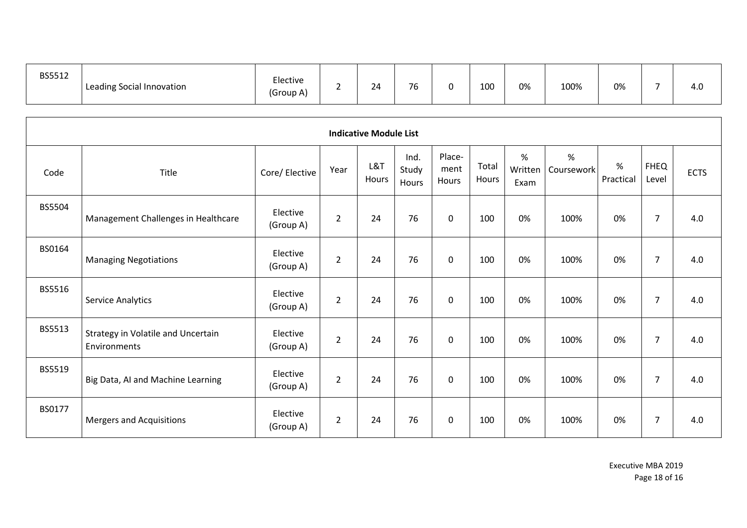| BS5512 | Leading Social Innovation | $\overline{\phantom{0}}$<br>Elective<br>(Group A) |  | 24 | $\sim$<br>7h |  | 100 | 0% | 100% | 0% |  | 4.U |
|--------|---------------------------|---------------------------------------------------|--|----|--------------|--|-----|----|------|----|--|-----|
|--------|---------------------------|---------------------------------------------------|--|----|--------------|--|-----|----|------|----|--|-----|

|               | <b>Indicative Module List</b>                      |                       |                |              |                        |                         |                |                      |                 |                |                      |             |  |  |  |
|---------------|----------------------------------------------------|-----------------------|----------------|--------------|------------------------|-------------------------|----------------|----------------------|-----------------|----------------|----------------------|-------------|--|--|--|
| Code          | Title                                              | Core/ Elective        | Year           | L&T<br>Hours | Ind.<br>Study<br>Hours | Place-<br>ment<br>Hours | Total<br>Hours | %<br>Written<br>Exam | %<br>Coursework | %<br>Practical | <b>FHEQ</b><br>Level | <b>ECTS</b> |  |  |  |
| <b>BS5504</b> | Management Challenges in Healthcare                | Elective<br>(Group A) | $\overline{2}$ | 24           | 76                     | 0                       | 100            | 0%                   | 100%            | 0%             | $\overline{7}$       | 4.0         |  |  |  |
| BS0164        | <b>Managing Negotiations</b>                       | Elective<br>(Group A) | $\overline{2}$ | 24           | 76                     | $\Omega$                | 100            | 0%                   | 100%            | 0%             | $\overline{7}$       | 4.0         |  |  |  |
| BS5516        | <b>Service Analytics</b>                           | Elective<br>(Group A) | $\overline{2}$ | 24           | 76                     | $\Omega$                | 100            | 0%                   | 100%            | 0%             | $\overline{7}$       | 4.0         |  |  |  |
| BS5513        | Strategy in Volatile and Uncertain<br>Environments | Elective<br>(Group A) | $\overline{2}$ | 24           | 76                     | $\mathbf 0$             | 100            | 0%                   | 100%            | 0%             | $\overline{7}$       | 4.0         |  |  |  |
| BS5519        | Big Data, AI and Machine Learning                  | Elective<br>(Group A) | $\overline{2}$ | 24           | 76                     | $\mathbf 0$             | 100            | 0%                   | 100%            | 0%             | $\overline{7}$       | 4.0         |  |  |  |
| BS0177        | Mergers and Acquisitions                           | Elective<br>(Group A) | $\overline{2}$ | 24           | 76                     | $\mathbf 0$             | 100            | 0%                   | 100%            | 0%             | $\overline{7}$       | 4.0         |  |  |  |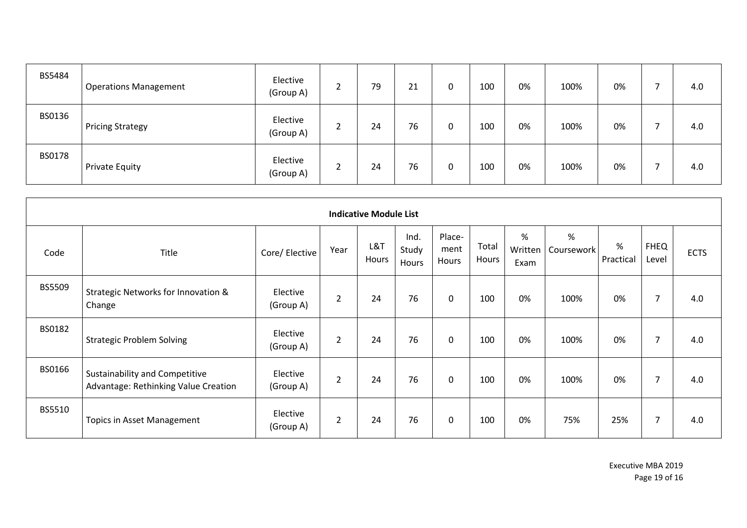| <b>BS5484</b> | <b>Operations Management</b> | Elective<br>(Group A) | ۰<br>∸ | 79 | 21 | 0 | 100 | 0% | 100% | 0% | 4.0 |
|---------------|------------------------------|-----------------------|--------|----|----|---|-----|----|------|----|-----|
| BS0136        | <b>Pricing Strategy</b>      | Elective<br>(Group A) | ۰<br>∼ | 24 | 76 | 0 | 100 | 0% | 100% | 0% | 4.0 |
| <b>BS0178</b> | <b>Private Equity</b>        | Elective<br>(Group A) | ۰<br>∠ | 24 | 76 | 0 | 100 | 0% | 100% | 0% | 4.0 |

|        |                                                                        |                       |                | <b>Indicative Module List</b> |                        |                         |                |                      |                 |                |                      |             |
|--------|------------------------------------------------------------------------|-----------------------|----------------|-------------------------------|------------------------|-------------------------|----------------|----------------------|-----------------|----------------|----------------------|-------------|
| Code   | Title                                                                  | Core/ Elective        | Year           | L&T<br>Hours                  | Ind.<br>Study<br>Hours | Place-<br>ment<br>Hours | Total<br>Hours | %<br>Written<br>Exam | %<br>Coursework | %<br>Practical | <b>FHEQ</b><br>Level | <b>ECTS</b> |
| BS5509 | Strategic Networks for Innovation &<br>Change                          | Elective<br>(Group A) | $\overline{2}$ | 24                            | 76                     | 0                       | 100            | 0%                   | 100%            | 0%             | 7                    | 4.0         |
| BS0182 | <b>Strategic Problem Solving</b>                                       | Elective<br>(Group A) | $\overline{2}$ | 24                            | 76                     | 0                       | 100            | 0%                   | 100%            | 0%             | 7                    | 4.0         |
| BS0166 | Sustainability and Competitive<br>Advantage: Rethinking Value Creation | Elective<br>(Group A) | $\overline{2}$ | 24                            | 76                     | 0                       | 100            | 0%                   | 100%            | 0%             | 7                    | 4.0         |
| BS5510 | <b>Topics in Asset Management</b>                                      | Elective<br>(Group A) | $\overline{2}$ | 24                            | 76                     | 0                       | 100            | 0%                   | 75%             | 25%            | 7                    | 4.0         |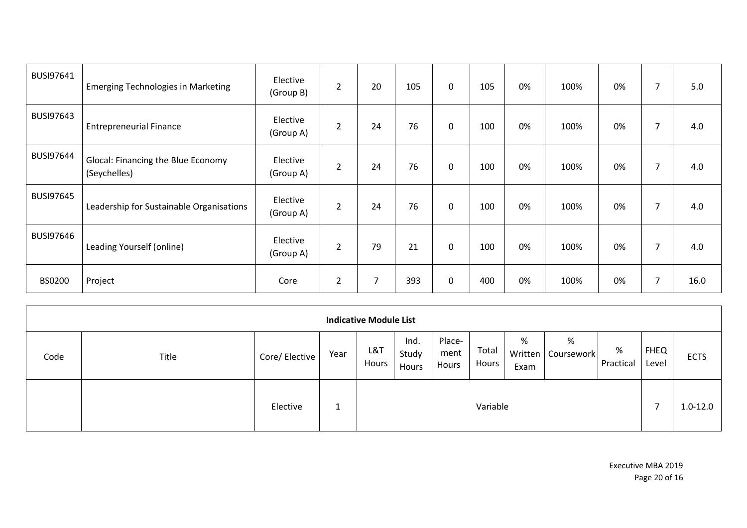| BUSI97641        | <b>Emerging Technologies in Marketing</b>          | Elective<br>(Group B) | $\overline{2}$ | 20             | 105 | 0           | 105 | 0% | 100% | 0% | 7 | 5.0  |
|------------------|----------------------------------------------------|-----------------------|----------------|----------------|-----|-------------|-----|----|------|----|---|------|
| <b>BUSI97643</b> | <b>Entrepreneurial Finance</b>                     | Elective<br>(Group A) | $\overline{2}$ | 24             | 76  | $\mathbf 0$ | 100 | 0% | 100% | 0% | 7 | 4.0  |
| <b>BUSI97644</b> | Glocal: Financing the Blue Economy<br>(Seychelles) | Elective<br>(Group A) | $\overline{2}$ | 24             | 76  | $\mathbf 0$ | 100 | 0% | 100% | 0% | 7 | 4.0  |
| <b>BUSI97645</b> | Leadership for Sustainable Organisations           | Elective<br>(Group A) | $\overline{2}$ | 24             | 76  | $\mathbf 0$ | 100 | 0% | 100% | 0% | 7 | 4.0  |
| <b>BUSI97646</b> | Leading Yourself (online)                          | Elective<br>(Group A) | $\overline{2}$ | 79             | 21  | $\mathbf 0$ | 100 | 0% | 100% | 0% | 7 | 4.0  |
| <b>BS0200</b>    | Project                                            | Core                  | $\overline{2}$ | $\overline{7}$ | 393 | 0           | 400 | 0% | 100% | 0% | 7 | 16.0 |

|      |       |                |      | <b>Indicative Module List</b> |                        |                         |                |                      |                 |                |                      |              |
|------|-------|----------------|------|-------------------------------|------------------------|-------------------------|----------------|----------------------|-----------------|----------------|----------------------|--------------|
| Code | Title | Core/ Elective | Year | L&T<br>Hours                  | Ind.<br>Study<br>Hours | Place-<br>ment<br>Hours | Total<br>Hours | %<br>Written<br>Exam | %<br>Coursework | %<br>Practical | <b>FHEQ</b><br>Level | <b>ECTS</b>  |
|      |       | Elective       | ᆠ    |                               |                        |                         | Variable       |                      |                 |                |                      | $1.0 - 12.0$ |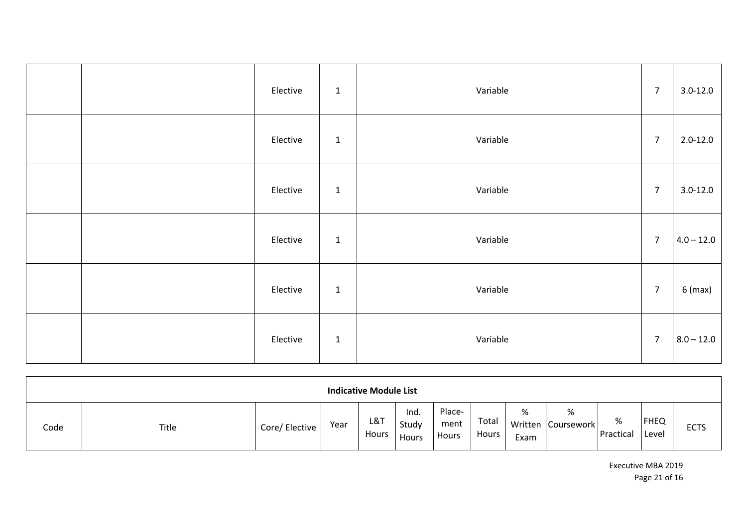| Elective | $\mathbf 1$ | Variable | $\overline{7}$ | $3.0 - 12.0$ |
|----------|-------------|----------|----------------|--------------|
| Elective | $\mathbf 1$ | Variable | $\overline{7}$ | $2.0 - 12.0$ |
| Elective | $\mathbf 1$ | Variable | $\overline{7}$ | $3.0 - 12.0$ |
| Elective | $\mathbf 1$ | Variable | $\overline{7}$ | $4.0 - 12.0$ |
| Elective | $\mathbf 1$ | Variable | $\overline{7}$ | $6$ (max)    |
| Elective | $\mathbf 1$ | Variable | $\overline{7}$ | $8.0 - 12.0$ |

| <b>Indicative Module List</b> |       |                |      |              |                        |                         |                |           |                         |                |                      |             |
|-------------------------------|-------|----------------|------|--------------|------------------------|-------------------------|----------------|-----------|-------------------------|----------------|----------------------|-------------|
| Code                          | Title | Core/ Elective | Year | L&T<br>Hours | Ind.<br>Study<br>Hours | Place-<br>ment<br>Hours | Total<br>Hours | %<br>Exam | %<br>Written Coursework | %<br>Practical | <b>FHEQ</b><br>Level | <b>ECTS</b> |

Executive MBA 2019 Page 21 of 16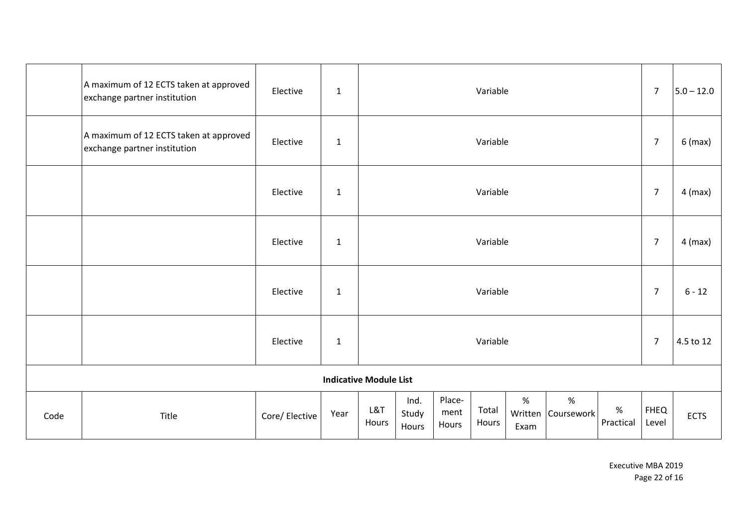|                               | A maximum of 12 ECTS taken at approved<br>exchange partner institution | Elective       | $\mathbf{1}$ |              |                        |                         | Variable       |           |                         |                | $\overline{7}$       | $5.0 - 12.0$ |
|-------------------------------|------------------------------------------------------------------------|----------------|--------------|--------------|------------------------|-------------------------|----------------|-----------|-------------------------|----------------|----------------------|--------------|
|                               | A maximum of 12 ECTS taken at approved<br>exchange partner institution | Elective       | $\mathbf{1}$ | Variable     |                        |                         |                |           |                         | $\overline{7}$ | $6$ (max)            |              |
|                               |                                                                        | Elective       | $\mathbf 1$  | Variable     |                        |                         |                |           |                         |                | $\overline{7}$       | $4$ (max)    |
|                               |                                                                        | Elective       | $\mathbf{1}$ | Variable     |                        |                         |                |           |                         | $\overline{7}$ | $4$ (max)            |              |
|                               |                                                                        | Elective       | $\mathbf 1$  | Variable     |                        |                         |                |           |                         | $\overline{7}$ | $6 - 12$             |              |
|                               |                                                                        | Elective       | $\mathbf{1}$ | Variable     |                        |                         |                |           |                         |                | $\overline{7}$       | 4.5 to 12    |
| <b>Indicative Module List</b> |                                                                        |                |              |              |                        |                         |                |           |                         |                |                      |              |
| Code                          | Title                                                                  | Core/ Elective | Year         | L&T<br>Hours | Ind.<br>Study<br>Hours | Place-<br>ment<br>Hours | Total<br>Hours | %<br>Exam | %<br>Written Coursework | %<br>Practical | <b>FHEQ</b><br>Level | <b>ECTS</b>  |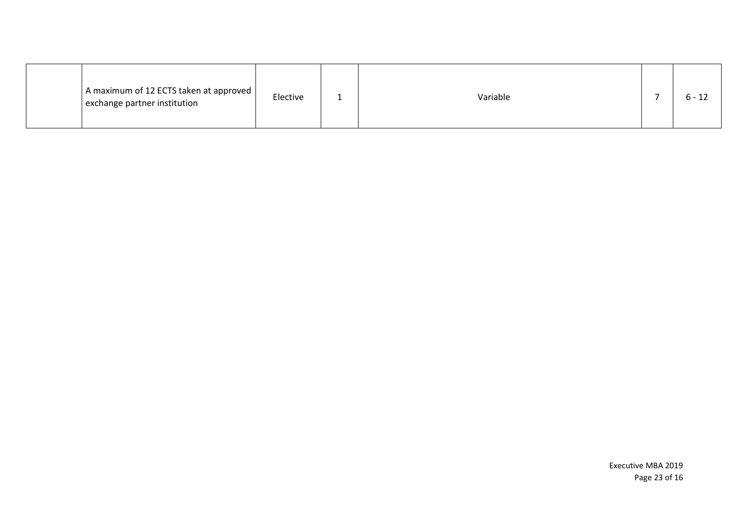|  | A maximum of 12 ECTS taken at approved  <br>exchange partner institution | Elective |  | Variable |  |  |
|--|--------------------------------------------------------------------------|----------|--|----------|--|--|
|--|--------------------------------------------------------------------------|----------|--|----------|--|--|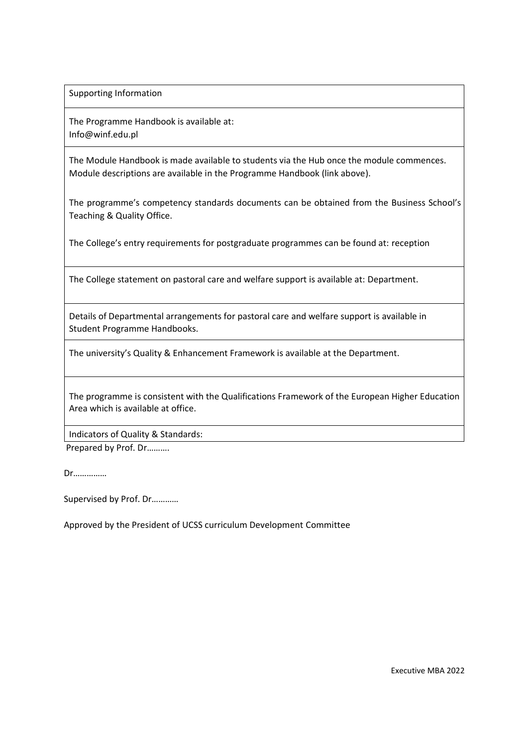Supporting Information

The Programme Handbook is available at: Info@winf.edu.p[l](http://www.imperial.ac.uk/business-school/programmes/programme-information/)

The Module Handbook is made available to students via the Hub once the module commences. Module descriptions are available in the Programme Handbook (link above).

The programme's competency standards documents can be obtained from the Business School's Teaching & Quality Office.

The College's entry requirements for postgraduate programmes can be found at: reception

The College statement on pastoral care and welfare support is available at: Department.

Details of Departmental arrangements for pastoral care and welfare support is available in Student Programme Handbooks.

The university's Quality & Enhancement Framework is available at the Department.

The programme is consistent with the Qualifications Framework of the European Higher Education Area which is available at office[.](http://www.ehea.info/Uploads/qualification/QF-EHEA-May2005.pdf)

Indicators of Quality & Standards:

Prepared by Prof. Dr……….

Dr……………

Supervised by Prof. Dr…………

Approved by the President of UCSS curriculum Development Committee